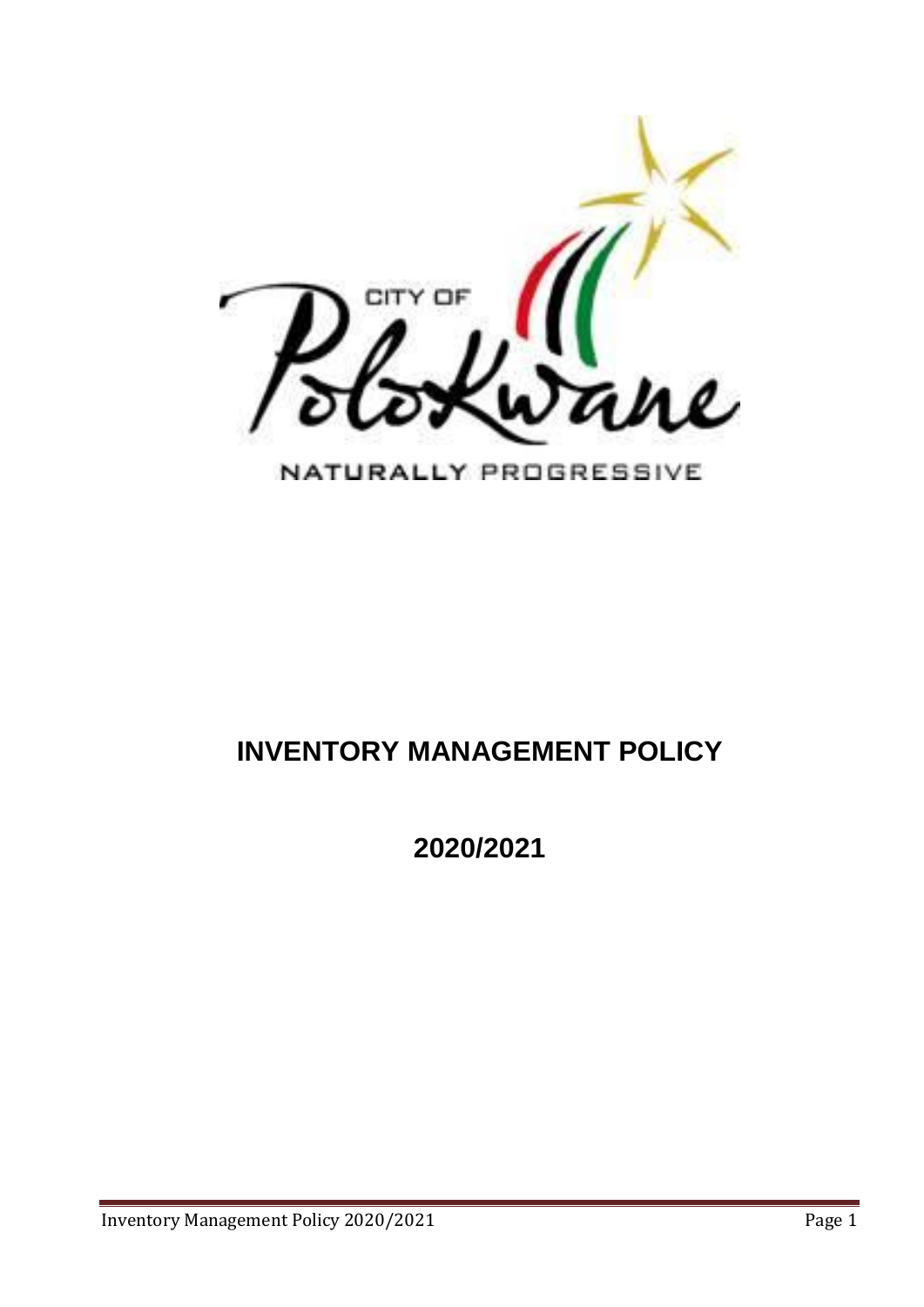

# **INVENTORY MANAGEMENT POLICY**

**2020/2021**

Inventory Management Policy 2020/2021 Page 1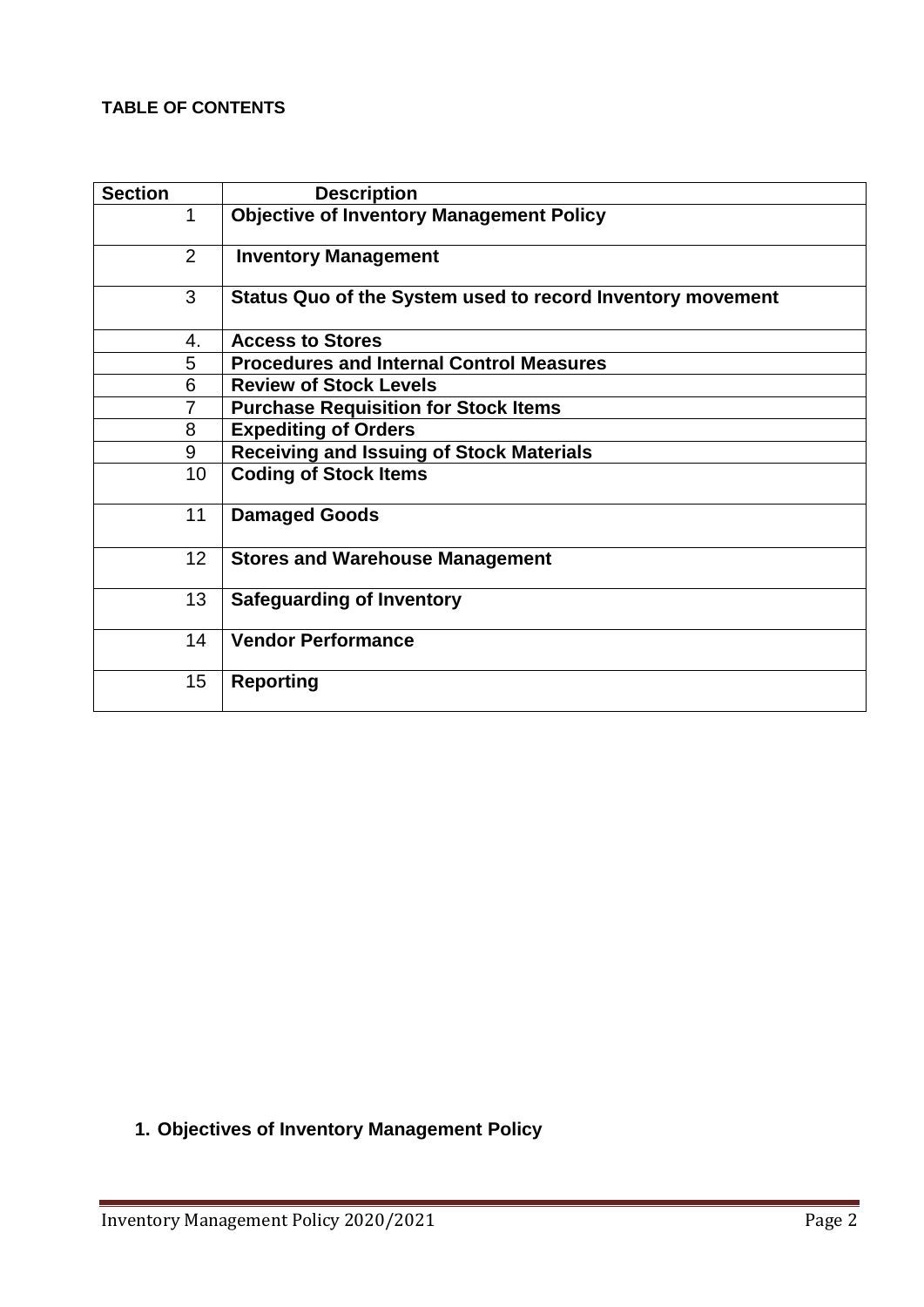#### **TABLE OF CONTENTS**

| <b>Section</b>  | <b>Description</b>                                         |
|-----------------|------------------------------------------------------------|
| 1               | <b>Objective of Inventory Management Policy</b>            |
| 2               | <b>Inventory Management</b>                                |
| 3               | Status Quo of the System used to record Inventory movement |
| 4.              | <b>Access to Stores</b>                                    |
| 5               | <b>Procedures and Internal Control Measures</b>            |
| 6               | <b>Review of Stock Levels</b>                              |
| 7               | <b>Purchase Requisition for Stock Items</b>                |
| 8               | <b>Expediting of Orders</b>                                |
| 9               | <b>Receiving and Issuing of Stock Materials</b>            |
| 10 <sup>1</sup> | <b>Coding of Stock Items</b>                               |
| 11              | <b>Damaged Goods</b>                                       |
| 12 <sub>2</sub> | <b>Stores and Warehouse Management</b>                     |
| 13              | <b>Safeguarding of Inventory</b>                           |
| 14              | <b>Vendor Performance</b>                                  |
| 15              | <b>Reporting</b>                                           |

**1. Objectives of Inventory Management Policy**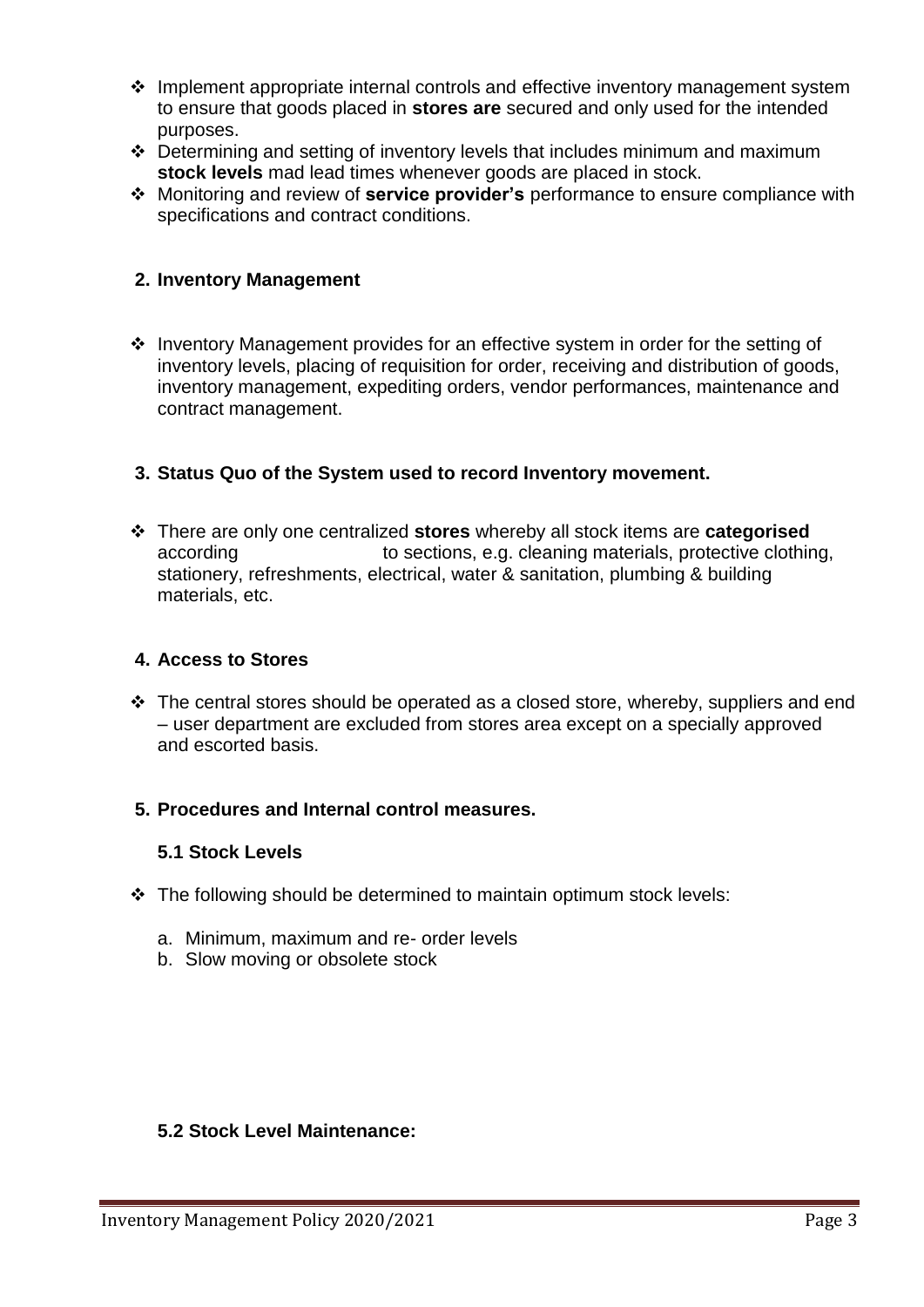- $\div$  Implement appropriate internal controls and effective inventory management system to ensure that goods placed in **stores are** secured and only used for the intended purposes.
- Determining and setting of inventory levels that includes minimum and maximum **stock levels** mad lead times whenever goods are placed in stock.
- Monitoring and review of **service provider's** performance to ensure compliance with specifications and contract conditions.

### **2. Inventory Management**

 $\cdot$  Inventory Management provides for an effective system in order for the setting of inventory levels, placing of requisition for order, receiving and distribution of goods, inventory management, expediting orders, vendor performances, maintenance and contract management.

## **3. Status Quo of the System used to record Inventory movement.**

 There are only one centralized **stores** whereby all stock items are **categorised** according to sections, e.g. cleaning materials, protective clothing, stationery, refreshments, electrical, water & sanitation, plumbing & building materials, etc.

#### **4. Access to Stores**

 $\cdot$  The central stores should be operated as a closed store, whereby, suppliers and end – user department are excluded from stores area except on a specially approved and escorted basis.

#### **5. Procedures and Internal control measures.**

#### **5.1 Stock Levels**

- $\div$  The following should be determined to maintain optimum stock levels:
	- a. Minimum, maximum and re- order levels
	- b. Slow moving or obsolete stock

#### **5.2 Stock Level Maintenance:**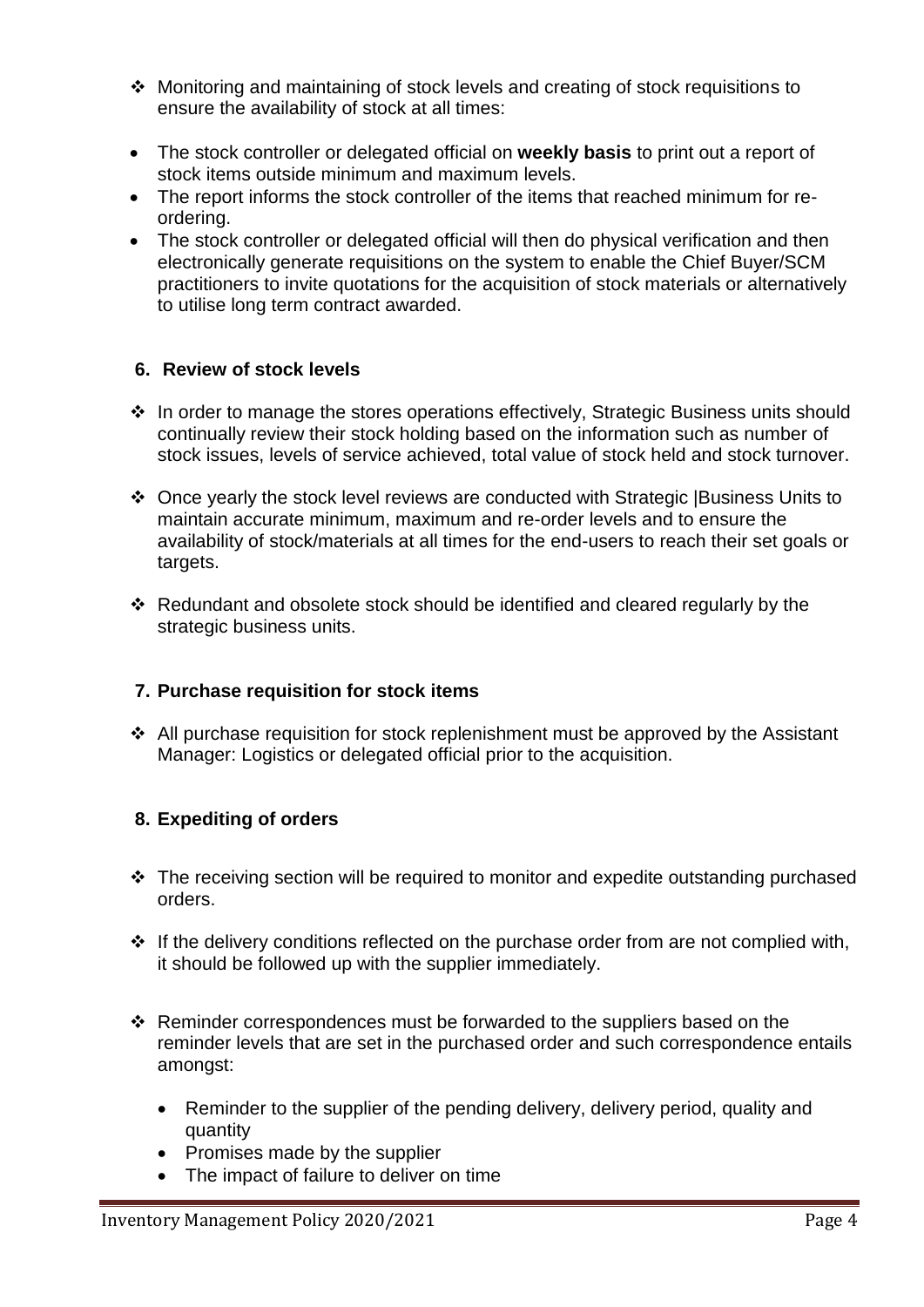- Monitoring and maintaining of stock levels and creating of stock requisitions to ensure the availability of stock at all times:
- The stock controller or delegated official on **weekly basis** to print out a report of stock items outside minimum and maximum levels.
- The report informs the stock controller of the items that reached minimum for reordering.
- The stock controller or delegated official will then do physical verification and then electronically generate requisitions on the system to enable the Chief Buyer/SCM practitioners to invite quotations for the acquisition of stock materials or alternatively to utilise long term contract awarded.

#### **6. Review of stock levels**

- $\cdot$  In order to manage the stores operations effectively, Strategic Business units should continually review their stock holding based on the information such as number of stock issues, levels of service achieved, total value of stock held and stock turnover.
- Once yearly the stock level reviews are conducted with Strategic |Business Units to maintain accurate minimum, maximum and re-order levels and to ensure the availability of stock/materials at all times for the end-users to reach their set goals or targets.
- Redundant and obsolete stock should be identified and cleared regularly by the strategic business units.

## **7. Purchase requisition for stock items**

 $\div$  All purchase requisition for stock replenishment must be approved by the Assistant Manager: Logistics or delegated official prior to the acquisition.

#### **8. Expediting of orders**

- $\cdot$  The receiving section will be required to monitor and expedite outstanding purchased orders.
- $\div$  If the delivery conditions reflected on the purchase order from are not complied with, it should be followed up with the supplier immediately.
- $\cdot$  Reminder correspondences must be forwarded to the suppliers based on the reminder levels that are set in the purchased order and such correspondence entails amongst:
	- Reminder to the supplier of the pending delivery, delivery period, quality and quantity
	- Promises made by the supplier
	- The impact of failure to deliver on time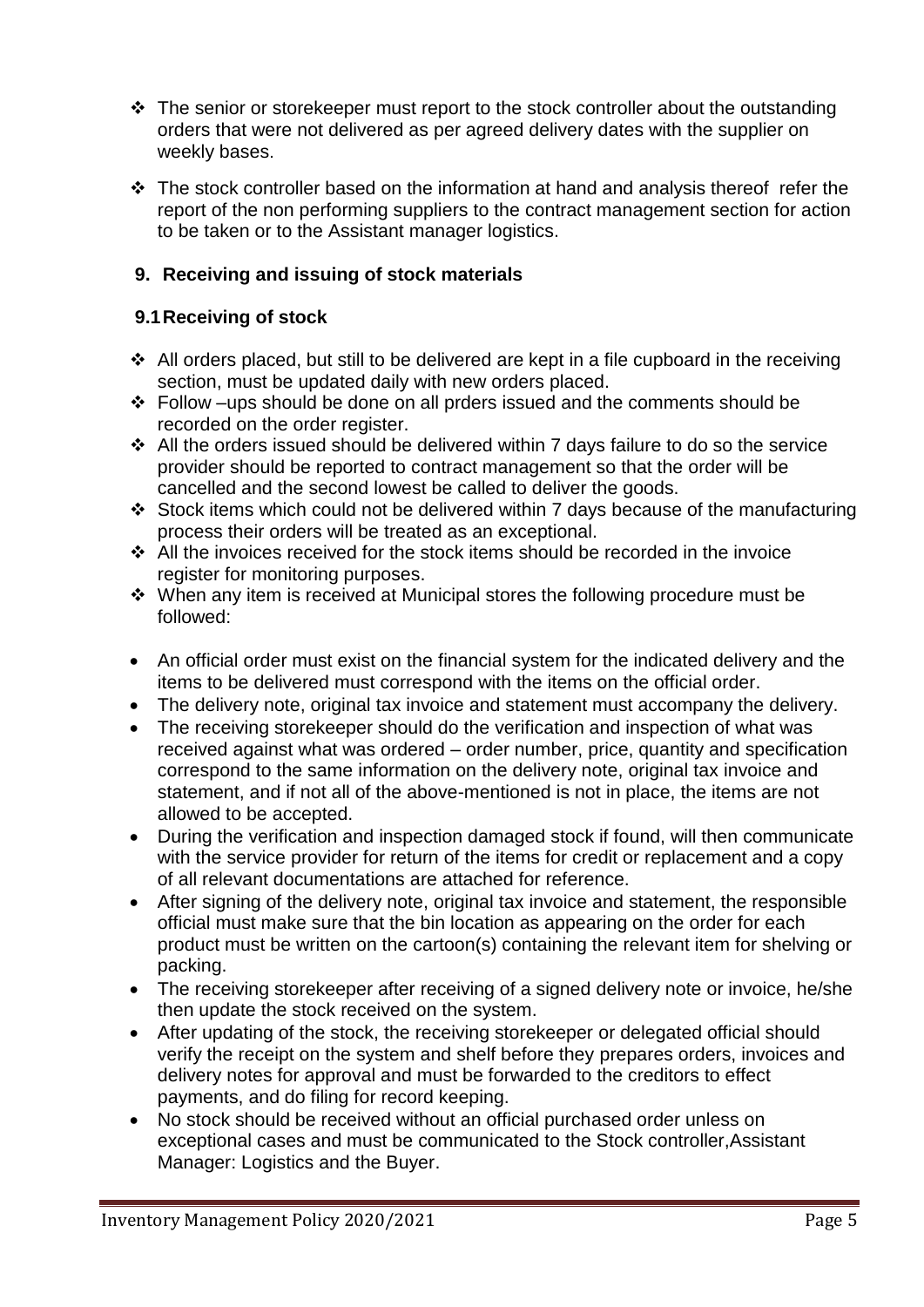- $\div$  The senior or storekeeper must report to the stock controller about the outstanding orders that were not delivered as per agreed delivery dates with the supplier on weekly bases.
- $\cdot \cdot$  The stock controller based on the information at hand and analysis thereof refer the report of the non performing suppliers to the contract management section for action to be taken or to the Assistant manager logistics.

## **9. Receiving and issuing of stock materials**

#### **9.1Receiving of stock**

- $\div$  All orders placed, but still to be delivered are kept in a file cupboard in the receiving section, must be updated daily with new orders placed.
- Follow –ups should be done on all prders issued and the comments should be recorded on the order register.
- All the orders issued should be delivered within 7 days failure to do so the service provider should be reported to contract management so that the order will be cancelled and the second lowest be called to deliver the goods.
- $\div$  Stock items which could not be delivered within 7 days because of the manufacturing process their orders will be treated as an exceptional.
- All the invoices received for the stock items should be recorded in the invoice register for monitoring purposes.
- When any item is received at Municipal stores the following procedure must be followed:
- An official order must exist on the financial system for the indicated delivery and the items to be delivered must correspond with the items on the official order.
- The delivery note, original tax invoice and statement must accompany the delivery.
- The receiving storekeeper should do the verification and inspection of what was received against what was ordered – order number, price, quantity and specification correspond to the same information on the delivery note, original tax invoice and statement, and if not all of the above-mentioned is not in place, the items are not allowed to be accepted.
- During the verification and inspection damaged stock if found, will then communicate with the service provider for return of the items for credit or replacement and a copy of all relevant documentations are attached for reference.
- After signing of the delivery note, original tax invoice and statement, the responsible official must make sure that the bin location as appearing on the order for each product must be written on the cartoon(s) containing the relevant item for shelving or packing.
- The receiving storekeeper after receiving of a signed delivery note or invoice, he/she then update the stock received on the system.
- After updating of the stock, the receiving storekeeper or delegated official should verify the receipt on the system and shelf before they prepares orders, invoices and delivery notes for approval and must be forwarded to the creditors to effect payments, and do filing for record keeping.
- No stock should be received without an official purchased order unless on exceptional cases and must be communicated to the Stock controller,Assistant Manager: Logistics and the Buyer.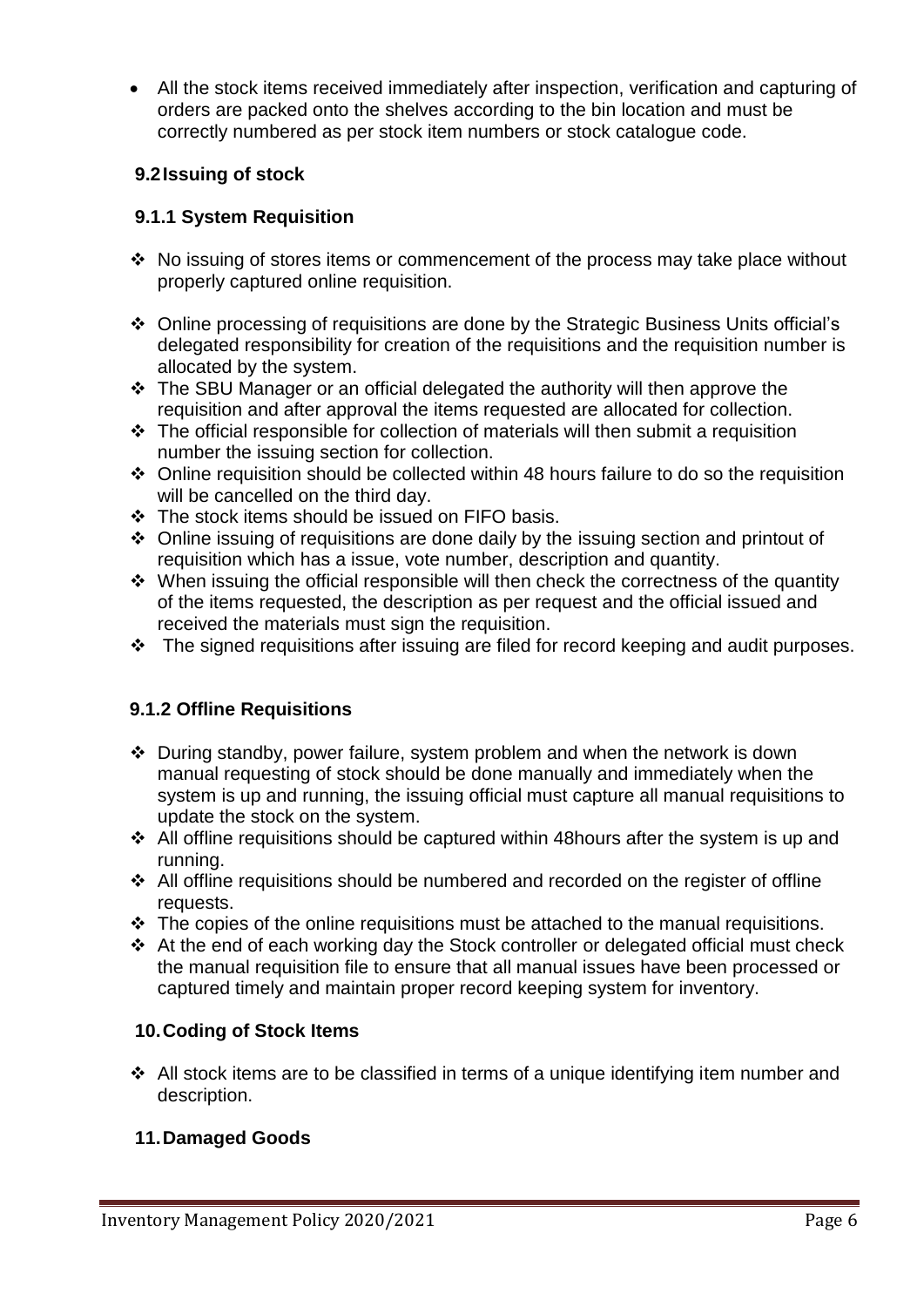All the stock items received immediately after inspection, verification and capturing of orders are packed onto the shelves according to the bin location and must be correctly numbered as per stock item numbers or stock catalogue code.

## **9.2Issuing of stock**

### **9.1.1 System Requisition**

- $\cdot$  No issuing of stores items or commencement of the process may take place without properly captured online requisition.
- Online processing of requisitions are done by the Strategic Business Units official's delegated responsibility for creation of the requisitions and the requisition number is allocated by the system.
- The SBU Manager or an official delegated the authority will then approve the requisition and after approval the items requested are allocated for collection.
- $\div$  The official responsible for collection of materials will then submit a requisition number the issuing section for collection.
- $\div$  Online requisition should be collected within 48 hours failure to do so the requisition will be cancelled on the third day.
- The stock items should be issued on FIFO basis.
- Online issuing of requisitions are done daily by the issuing section and printout of requisition which has a issue, vote number, description and quantity.
- $\cdot$  When issuing the official responsible will then check the correctness of the quantity of the items requested, the description as per request and the official issued and received the materials must sign the requisition.
- $\cdot \cdot$  The signed requisitions after issuing are filed for record keeping and audit purposes.

#### **9.1.2 Offline Requisitions**

- During standby, power failure, system problem and when the network is down manual requesting of stock should be done manually and immediately when the system is up and running, the issuing official must capture all manual requisitions to update the stock on the system.
- $\cdot$  All offline requisitions should be captured within 48 hours after the system is up and running.
- All offline requisitions should be numbered and recorded on the register of offline requests.
- $\cdot$  The copies of the online requisitions must be attached to the manual requisitions.
- At the end of each working day the Stock controller or delegated official must check the manual requisition file to ensure that all manual issues have been processed or captured timely and maintain proper record keeping system for inventory.

#### **10.Coding of Stock Items**

 $\triangleleft$  All stock items are to be classified in terms of a unique identifying item number and description.

#### **11.Damaged Goods**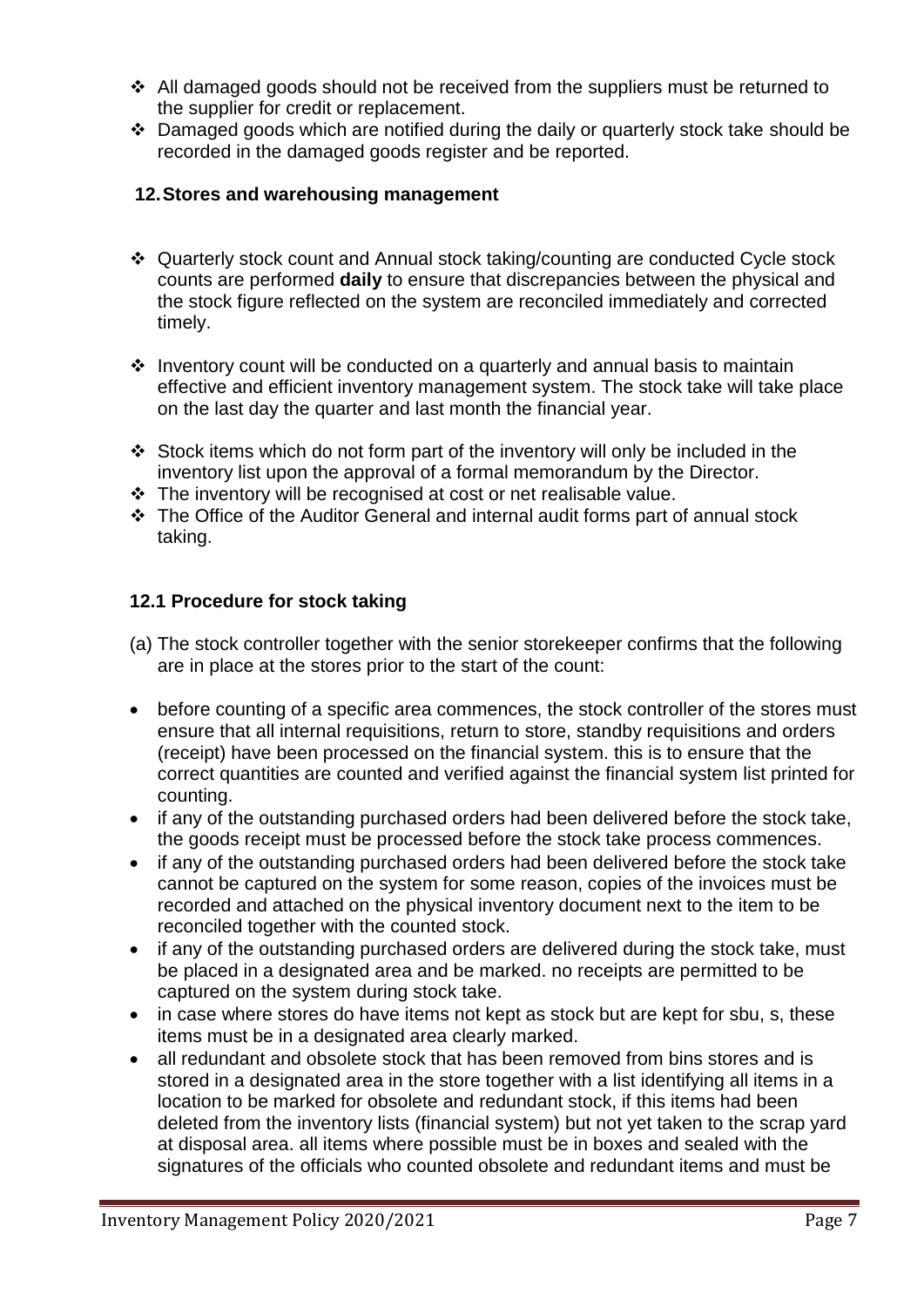- All damaged goods should not be received from the suppliers must be returned to the supplier for credit or replacement.
- Damaged goods which are notified during the daily or quarterly stock take should be recorded in the damaged goods register and be reported.

## **12.Stores and warehousing management**

- Quarterly stock count and Annual stock taking/counting are conducted Cycle stock counts are performed **daily** to ensure that discrepancies between the physical and the stock figure reflected on the system are reconciled immediately and corrected timely.
- $\cdot$  Inventory count will be conducted on a quarterly and annual basis to maintain effective and efficient inventory management system. The stock take will take place on the last day the quarter and last month the financial year.
- Stock items which do not form part of the inventory will only be included in the inventory list upon the approval of a formal memorandum by the Director.
- The inventory will be recognised at cost or net realisable value.
- The Office of the Auditor General and internal audit forms part of annual stock taking.

## **12.1 Procedure for stock taking**

- (a) The stock controller together with the senior storekeeper confirms that the following are in place at the stores prior to the start of the count:
- before counting of a specific area commences, the stock controller of the stores must ensure that all internal requisitions, return to store, standby requisitions and orders (receipt) have been processed on the financial system. this is to ensure that the correct quantities are counted and verified against the financial system list printed for counting.
- if any of the outstanding purchased orders had been delivered before the stock take, the goods receipt must be processed before the stock take process commences.
- if any of the outstanding purchased orders had been delivered before the stock take cannot be captured on the system for some reason, copies of the invoices must be recorded and attached on the physical inventory document next to the item to be reconciled together with the counted stock.
- if any of the outstanding purchased orders are delivered during the stock take, must be placed in a designated area and be marked. no receipts are permitted to be captured on the system during stock take.
- in case where stores do have items not kept as stock but are kept for sbu, s, these items must be in a designated area clearly marked.
- all redundant and obsolete stock that has been removed from bins stores and is stored in a designated area in the store together with a list identifying all items in a location to be marked for obsolete and redundant stock, if this items had been deleted from the inventory lists (financial system) but not yet taken to the scrap yard at disposal area. all items where possible must be in boxes and sealed with the signatures of the officials who counted obsolete and redundant items and must be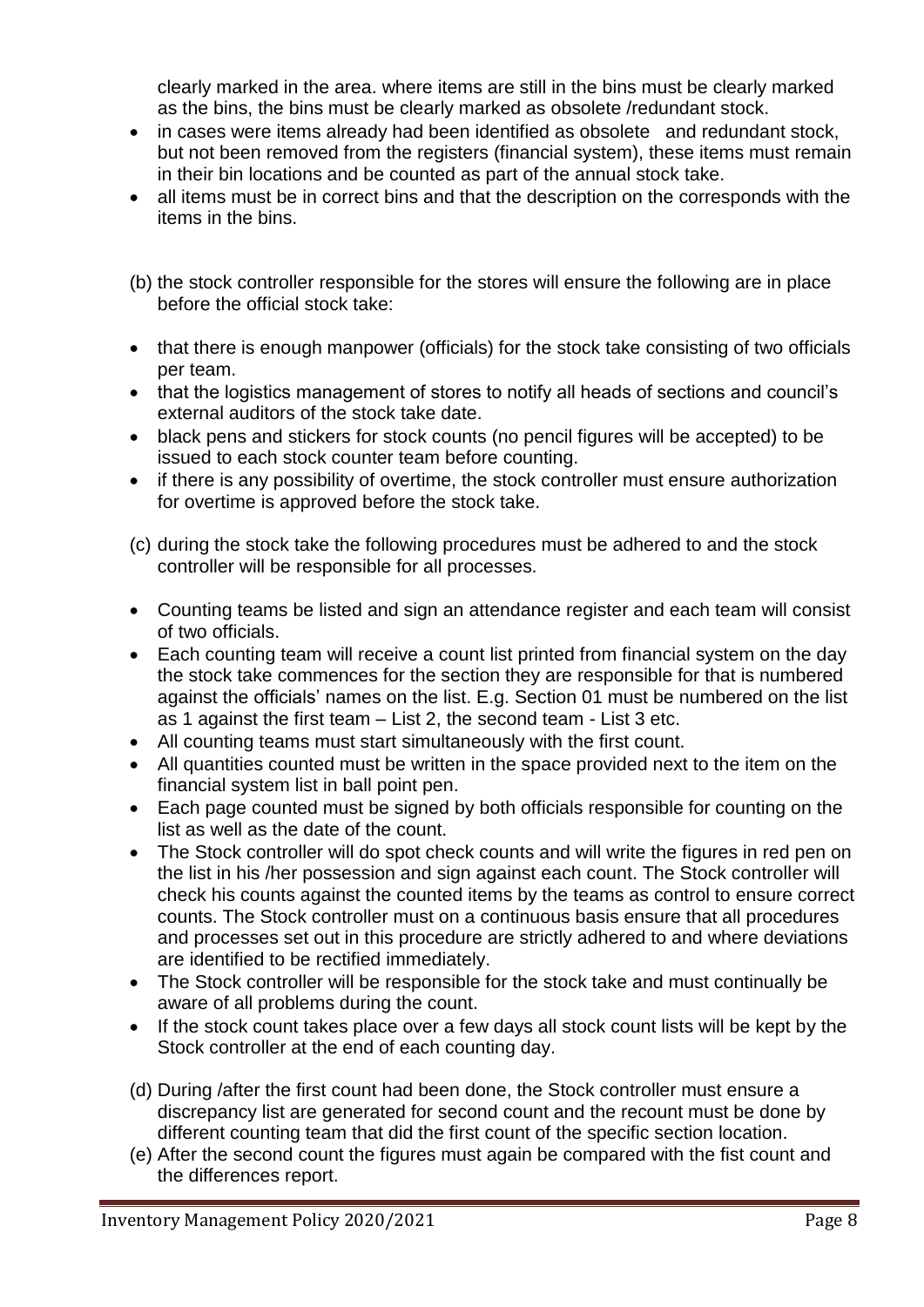clearly marked in the area. where items are still in the bins must be clearly marked as the bins, the bins must be clearly marked as obsolete /redundant stock.

- in cases were items already had been identified as obsolete and redundant stock, but not been removed from the registers (financial system), these items must remain in their bin locations and be counted as part of the annual stock take.
- all items must be in correct bins and that the description on the corresponds with the items in the bins.
- (b) the stock controller responsible for the stores will ensure the following are in place before the official stock take:
- that there is enough manpower (officials) for the stock take consisting of two officials per team.
- that the logistics management of stores to notify all heads of sections and council's external auditors of the stock take date.
- black pens and stickers for stock counts (no pencil figures will be accepted) to be issued to each stock counter team before counting.
- if there is any possibility of overtime, the stock controller must ensure authorization for overtime is approved before the stock take.
- (c) during the stock take the following procedures must be adhered to and the stock controller will be responsible for all processes.
- Counting teams be listed and sign an attendance register and each team will consist of two officials.
- Each counting team will receive a count list printed from financial system on the day the stock take commences for the section they are responsible for that is numbered against the officials' names on the list. E.g. Section 01 must be numbered on the list as 1 against the first team – List 2, the second team - List 3 etc.
- All counting teams must start simultaneously with the first count.
- All quantities counted must be written in the space provided next to the item on the financial system list in ball point pen.
- Each page counted must be signed by both officials responsible for counting on the list as well as the date of the count.
- The Stock controller will do spot check counts and will write the figures in red pen on the list in his /her possession and sign against each count. The Stock controller will check his counts against the counted items by the teams as control to ensure correct counts. The Stock controller must on a continuous basis ensure that all procedures and processes set out in this procedure are strictly adhered to and where deviations are identified to be rectified immediately.
- The Stock controller will be responsible for the stock take and must continually be aware of all problems during the count.
- If the stock count takes place over a few days all stock count lists will be kept by the Stock controller at the end of each counting day.
- (d) During /after the first count had been done, the Stock controller must ensure a discrepancy list are generated for second count and the recount must be done by different counting team that did the first count of the specific section location.
- (e) After the second count the figures must again be compared with the fist count and the differences report.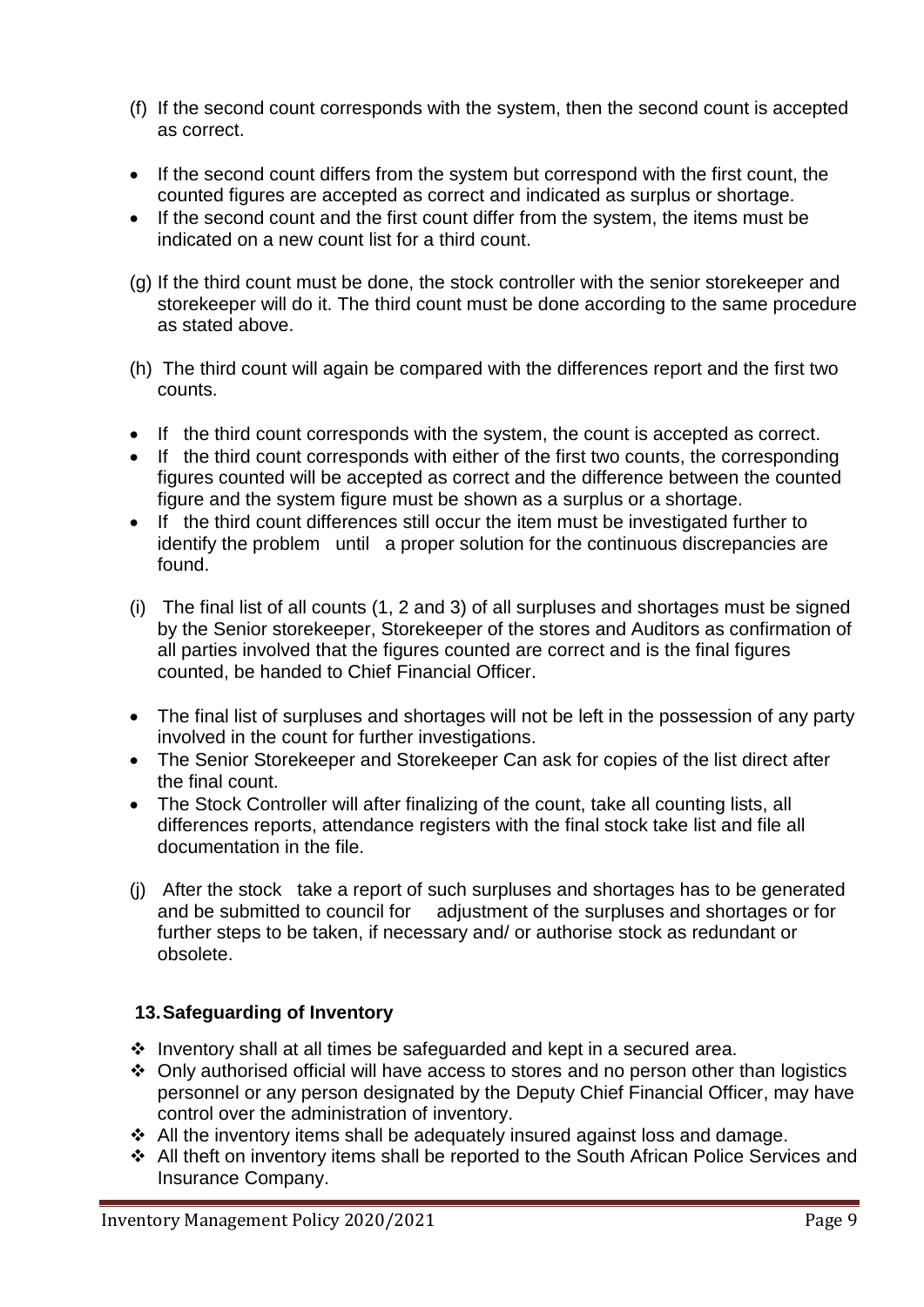- (f) If the second count corresponds with the system, then the second count is accepted as correct.
- If the second count differs from the system but correspond with the first count, the counted figures are accepted as correct and indicated as surplus or shortage.
- If the second count and the first count differ from the system, the items must be indicated on a new count list for a third count.
- (g) If the third count must be done, the stock controller with the senior storekeeper and storekeeper will do it. The third count must be done according to the same procedure as stated above.
- (h) The third count will again be compared with the differences report and the first two counts.
- If the third count corresponds with the system, the count is accepted as correct.
- If the third count corresponds with either of the first two counts, the corresponding figures counted will be accepted as correct and the difference between the counted figure and the system figure must be shown as a surplus or a shortage.
- If the third count differences still occur the item must be investigated further to identify the problem until a proper solution for the continuous discrepancies are found.
- (i) The final list of all counts (1, 2 and 3) of all surpluses and shortages must be signed by the Senior storekeeper, Storekeeper of the stores and Auditors as confirmation of all parties involved that the figures counted are correct and is the final figures counted, be handed to Chief Financial Officer.
- The final list of surpluses and shortages will not be left in the possession of any party involved in the count for further investigations.
- The Senior Storekeeper and Storekeeper Can ask for copies of the list direct after the final count.
- The Stock Controller will after finalizing of the count, take all counting lists, all differences reports, attendance registers with the final stock take list and file all documentation in the file.
- (j) After the stock take a report of such surpluses and shortages has to be generated and be submitted to council for adjustment of the surpluses and shortages or for further steps to be taken, if necessary and/ or authorise stock as redundant or obsolete.

#### **13.Safeguarding of Inventory**

- $\cdot$  Inventory shall at all times be safeguarded and kept in a secured area.
- Only authorised official will have access to stores and no person other than logistics personnel or any person designated by the Deputy Chief Financial Officer, may have control over the administration of inventory.
- $\div$  All the inventory items shall be adequately insured against loss and damage.
- All theft on inventory items shall be reported to the South African Police Services and Insurance Company.